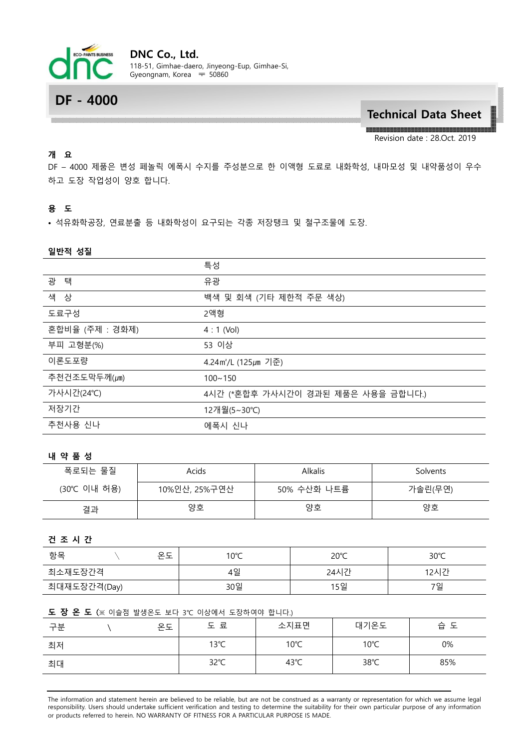

# **DF - 4000**

**Technical Data Sheet**

Revision date : 28.Oct. 2019

# **개 요**

DF – 4000 제품은 변성 페놀릭 에폭시 수지를 주성분으로 한 이액형 도료로 내화학성, 내마모성 및 내약품성이 우수 하고 도장 작업성이 양호 합니다.

# **용 도**

• 석유화학공장, 연료분출 등 내화학성이 요구되는 각종 저장탱크 및 철구조물에 도장.

## **일반적 성질**

|                 | 특성                                 |
|-----------------|------------------------------------|
| 광 택             | 유광                                 |
| 색 상             | 백색 및 회색 (기타 제한적 주문 색상)             |
| 도료구성            | 2액형                                |
| 혼합비율 (주제 : 경화제) | $4:1$ (Vol)                        |
| 부피 고형분(%)       | 53 이상                              |
| 이론도포량           | 4.24m <sup>2</sup> /L (125µm 기준)   |
| 추천건조도막두께(μm)    | $100 - 150$                        |
| 가사시간(24℃)       | 4시간 (*혼합후 가사시간이 경과된 제품은 사용을 금합니다.) |
| 저장기간            | 12개월(5∼30℃)                        |
| 추천사용 신나         | 에폭시 신나                             |

#### **내 약 품 성**

| 폭로되는 물질     | Acids         | <b>Alkalis</b> | Solvents |
|-------------|---------------|----------------|----------|
| (30℃ 이내 허용) | 10%인산, 25%구연산 | 50% 수산화 나트륨    | 가솔린(무연)  |
| 결과          | 양호            | 양호             | 양호       |

#### **건 조 시 간**

| 항목<br>$\circ$ $\vdash$<br>ㄴᅩ | $10^{\circ}$ C | $20^{\circ}$ C | $30^{\circ}$ C |
|------------------------------|----------------|----------------|----------------|
| 최소재도장간격                      | 4일             | 24시간           | 12시간           |
| 최대재도장간격(Day)                 | 30일            | 15일            | 7일             |

## **도 장 온 도** (※ 이슬점 발생온도 보다 3℃ 이상에서 도장하여야 합니다.)

| 구분 | 온도 | 도 료  | 소지표면 | 대기온도 | 습 도 |
|----|----|------|------|------|-----|
| 최저 |    | 13°C | 10°C | 10°C | 0%  |
| 최대 |    | 32°C | 43°C | 38°C | 85% |

The information and statement herein are believed to be reliable, but are not be construed as a warranty or representation for which we assume legal responsibility. Users should undertake sufficient verification and testing to determine the suitability for their own particular purpose of any information or products referred to herein. NO WARRANTY OF FITNESS FOR A PARTICULAR PURPOSE IS MADE.